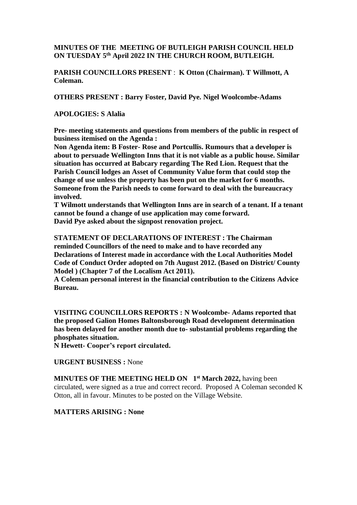# **MINUTES OF THE MEETING OF BUTLEIGH PARISH COUNCIL HELD ON TUESDAY 5 th April 2022 IN THE CHURCH ROOM, BUTLEIGH.**

**PARISH COUNCILLORS PRESENT** : **K Otton (Chairman). T Willmott, A Coleman.**

**OTHERS PRESENT : Barry Foster, David Pye. Nigel Woolcombe-Adams**

### **APOLOGIES: S Alalia**

**Pre- meeting statements and questions from members of the public in respect of business itemised on the Agenda :**

**Non Agenda item: B Foster- Rose and Portcullis. Rumours that a developer is about to persuade Wellington Inns that it is not viable as a public house. Similar situation has occurred at Babcary regarding The Red Lion. Request that the Parish Council lodges an Asset of Community Value form that could stop the change of use unless the property has been put on the market for 6 months. Someone from the Parish needs to come forward to deal with the bureaucracy involved.**

**T Wilmott understands that Wellington Inns are in search of a tenant. If a tenant cannot be found a change of use application may come forward. David Pye asked about the signpost renovation project.**

**STATEMENT OF DECLARATIONS OF INTEREST : The Chairman reminded Councillors of the need to make and to have recorded any Declarations of Interest made in accordance with the Local Authorities Model Code of Conduct Order adopted on 7th August 2012. (Based on District/ County Model ) (Chapter 7 of the Localism Act 2011).**

**A Coleman personal interest in the financial contribution to the Citizens Advice Bureau.**

**VISITING COUNCILLORS REPORTS : N Woolcombe- Adams reported that the proposed Galion Homes Baltonsborough Road development determination has been delayed for another month due to- substantial problems regarding the phosphates situation.**

**N Hewett- Cooper's report circulated.**

### **URGENT BUSINESS :** None

**MINUTES OF THE MEETING HELD ON 1 st March 2022,** having been circulated, were signed as a true and correct record. Proposed A Coleman seconded K Otton, all in favour. Minutes to be posted on the Village Website.

### **MATTERS ARISING : None**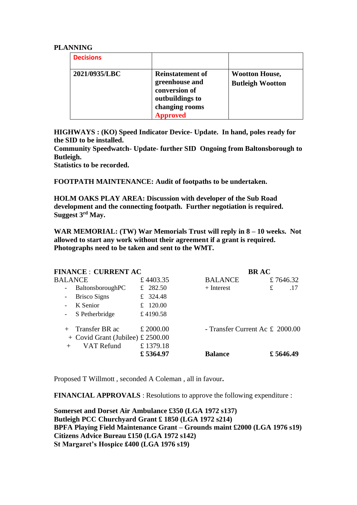#### **PLANNING**

| <b>Decisions</b> |                                                                                                                    |                                                  |
|------------------|--------------------------------------------------------------------------------------------------------------------|--------------------------------------------------|
| 2021/0935/LBC    | <b>Reinstatement of</b><br>greenhouse and<br>conversion of<br>outbuildings to<br>changing rooms<br><b>Approved</b> | <b>Wootton House,</b><br><b>Butleigh Wootton</b> |

**HIGHWAYS : (KO) Speed Indicator Device- Update. In hand, poles ready for the SID to be installed.**

**Community Speedwatch- Update- further SID Ongoing from Baltonsborough to Butleigh.**

**Statistics to be recorded.**

**FOOTPATH MAINTENANCE: Audit of footpaths to be undertaken.**

**HOLM OAKS PLAY AREA: Discussion with developer of the Sub Road development and the connecting footpath. Further negotiation is required. Suggest 3rd May.**

**WAR MEMORIAL: (TW) War Memorials Trust will reply in 8 – 10 weeks. Not allowed to start any work without their agreement if a grant is required. Photographs need to be taken and sent to the WMT.** 

| <b>FINANCE : CURRENT AC</b>       | <b>BRAC</b>                     |           |
|-----------------------------------|---------------------------------|-----------|
| £4403.35                          | <b>BALANCE</b>                  | £7646.32  |
| £ 282.50                          | $+$ Interest                    | £<br>.17  |
| £ 324.48                          |                                 |           |
| £ 120.00                          |                                 |           |
| £4190.58                          |                                 |           |
| £ 2000.00                         | - Transfer Current Ac £ 2000.00 |           |
| + Covid Grant (Jubilee) £ 2500.00 |                                 |           |
| £1379.18                          |                                 |           |
| £5364.97                          | <b>Balance</b>                  | £ 5646.49 |
|                                   |                                 |           |

Proposed T Willmott , seconded A Coleman , all in favour**.**

**FINANCIAL APPROVALS** : Resolutions to approve the following expenditure :

**Somerset and Dorset Air Ambulance £350 (LGA 1972 s137) Butleigh PCC Churchyard Grant £ 1850 (LGA 1972 s214) BPFA Playing Field Maintenance Grant – Grounds maint £2000 (LGA 1976 s19) Citizens Advice Bureau £150 (LGA 1972 s142) St Margaret's Hospice £400 (LGA 1976 s19)**